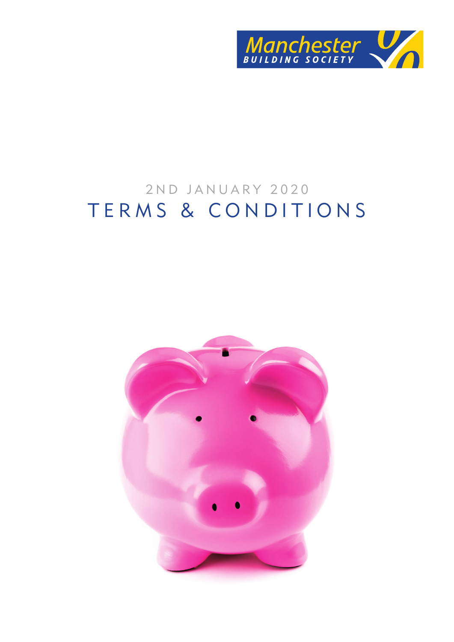

# 2ND JANUARY 2020 TERMS & CONDITIONS

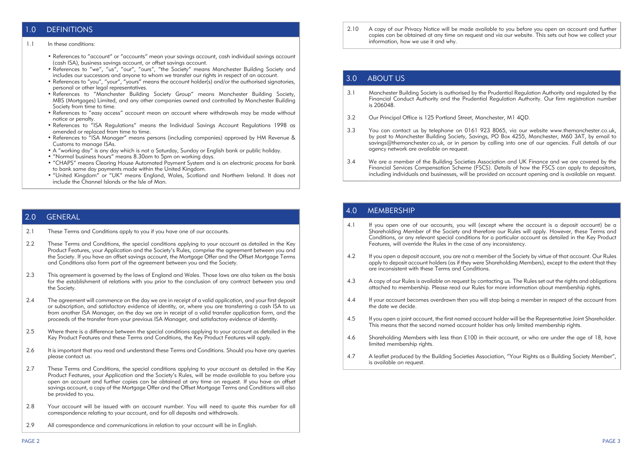# 1.0 DEFINITIONS

#### 1.1 In these conditions:

- References to "account" or "accounts" mean your savings account, cash individual savings account (cash ISA), business savings account, or offset savings account.
- References to "we", "us", "our", "ours", "the Society" means Manchester Building Society and includes our successors and anyone to whom we transfer our rights in respect of an account.
- References to "you", "your", "yours" means the account holder(s) and/or the authorised signatories. personal or other legal representatives.
- References to "Manchester Building Society Group" means Manchester Building Society, MBS (Mortgages) Limited, and any other companies owned and controlled by Manchester Building Society from time to time.
- References to "easy access" account mean an account where withdrawals may be made without notice or penalty.
- References to "ISA Regulations" means the Individual Savings Account Regulations 1998 as amended or replaced from time to time.
- References to "ISA Manager" means persons (including companies) approved by HM Revenue & Customs to manage ISAs.
- A "working day" is any day which is not a Saturday, Sunday or English bank or public holiday.
- "Normal business hours" means 8.30am to 5pm on working days.
- "CHAPS" means Clearing House Automated Payment System and is an electronic process for bank to bank same day payments made within the United Kingdom.
- "United Kingdom" or "UK" means England, Wales, Scotland and Northern Ireland. It does not include the Channel Islands or the Isle of Man.

#### 2.0 GENERAL

- 2.1 These Terms and Conditions apply to you if you have one of our accounts.
- 2.2 These Terms and Conditions, the special conditions applying to your account as detailed in the Key Product Features, your Application and the Society's Rules, comprise the agreement between you and the Society. If you have an offset savings account, the Mortgage Offer and the Offset Mortgage Terms and Conditions also form part of the agreement between you and the Society.
- 2.3 This gareement is governed by the laws of England and Wales. Those laws are also taken as the basis for the establishment of relations with you prior to the conclusion of any contract between you and the Society.
- 2.4 The agreement will commence on the day we are in receipt of a valid application, and your first deposit or subscription, and satisfactory evidence of identity, or, where you are transferring a cash ISA to us from another ISA Manager, on the day we are in receipt of a valid transfer application form, and the proceeds of the transfer from your previous ISA Manager, and satisfactory evidence of identity.
- 2.5 Where there is a difference between the special conditions applying to your account as detailed in the Key Product Features and these Terms and Conditions, the Key Product Features will apply.
- 2.6 It is important that you read and understand these Terms and Conditions. Should you have any queries please contact us.
- 2.7 These Terms and Conditions, the special conditions applying to your account as detailed in the Key Product Features, your Application and the Society's Rules, will be made available to you before you open an account and further copies can be obtained at any time on request. If you have an offset savings account, a copy of the Mortgage Offer and the Offset Mortgage Terms and Conditions will also be provided to you.
- 2.8 Your account will be issued with an account number. You will need to quote this number for all correspondence relating to your account, and for all deposits and withdrawals.
- 2.9 All correspondence and communications in relation to your account will be in English.

2.10 A copy of our Privacy Notice will be made available to you before you open an account and further copies can be obtained at any time on request and via our website. This sets out how we collect your information, how we use it and why.

# 3.0 ABOUT US

- 3.1 Manchester Building Society is authorised by the Prudential Regulation Authority and regulated by the Financial Conduct Authority and the Prudential Regulation Authority. Our firm registration number is 206048.
- 3.2 Our Principal Office is 125 Portland Street, Manchester, M1 4OD.
- 3.3 You can contact us by telephone on 0161 923 8065, via our website www.themanchester.co.uk, by post to Manchester Building Society, Savings, PO Box 4255, Manchester, M60 3AT, by email to savings@themanchester.co.uk, or in person by calling into one of our agencies. Full details of our agency network are available on request.
- 3.4 We are a member of the Building Societies Association and UK Finance and we are covered by the Financial Services Compensation Scheme (FSCS). Details of how the FSCS can apply to depositors, including individuals and businesses, will be provided on account opening and is available on request.

# 4.0 MEMBERSHIP

- 4.1 If you open one of our accounts, you will (except where the account is a deposit account) be a Shareholding Member of the Society and therefore our Rules will apply. However, these Terms and Conditions, or any relevant special conditions for a particular account as detailed in the Key Product Features, will override the Rules in the case of any inconsistency.
- 4.2 If you open a deposit account, you are not a member of the Society by virtue of that account. Our Rules apply to deposit account holders (as if they were Shareholding Members), except to the extent that they are inconsistent with these Terms and Conditions.
- 4.3 A copy of our Rules is available on request by contacting us. The Rules set out the rights and obligations attached to membership. Please read our Rules for more information about membership rights.
- 4.4 If your account becomes overdrawn then you will stop being a member in respect of the account from the date we decide.
- 4.5 If you open a joint account, the first named account holder will be the Representative Joint Shareholder. This means that the second named account holder has only limited membership rights.
- 4.6 Shareholding Members with less than £100 in their account, or who are under the age of 18, have limited membership rights.
- 4.7 A leaflet produced by the Building Societies Association, "Your Rights as a Building Society Member", is available on request.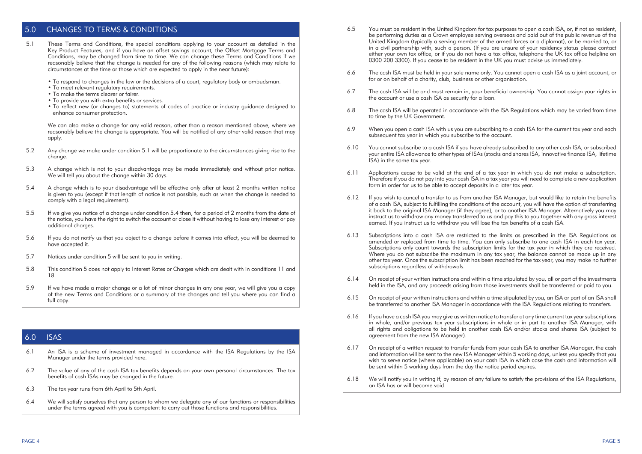# 5.0 CHANGES TO TERMS & CONDITIONS

- 5.1 These Terms and Conditions, the special conditions applying to your account as detailed in the Key Product Features, and if you have an offset savings account, the Offset Mortgage Terms and Conditions, may be changed from time to time. We can change these Terms and Conditions if we reasonably believe that the change is needed for any of the following reasons (which may relate to circumstances at the time or those which are expected to apply in the near future):
	- To respond to changes in the law or the decisions of a court, regulatory body or ombudsman.
	- To meet relevant regulatory requirements.
	- To make the terms clearer or fairer.
	- To provide you with extra benefits or services.
	- To reflect new (or changes to) statements of codes of practice or industry guidance designed to enhance consumer protection.

We can also make a change for any valid reason, other than a reason mentioned above, where we reasonably believe the change is appropriate. You will be notified of any other valid reason that may apply.

- 5.2 Any change we make under condition 5.1 will be proportionate to the circumstances giving rise to the change.
- 5.3 A change which is not to your disadvantage may be made immediately and without prior notice. We will tell you about the change within 30 days.
- 5.4 A change which is to your disadvantage will be effective only after at least 2 months written notice is given to you (except if that length of notice is not possible, such as when the change is needed to comply with a legal requirement).
- 5.5 If we give you notice of a change under condition 5.4 then, for a period of 2 months from the date of the notice, you have the right to switch the account or close it without having to lose any interest or pay additional charges.
- 5.6 If you do not notify us that you object to a change before it comes into effect, you will be deemed to have accepted it.
- 5.7 Notices under condition 5 will be sent to you in writing.
- 5.8 This condition 5 does not apply to Interest Rates or Charges which are dealt with in conditions 11 and 18.
- 5.9 If we have made a major change or a lot of minor changes in any one year, we will give you a copy of the new Terms and Conditions or a summary of the changes and tell you where you can find a full copy.

#### 6.0 ISAS

- 6.1 An ISA is a scheme of investment managed in accordance with the ISA Regulations by the ISA Manager under the terms provided here.
- 6.2 The value of any of the cash ISA tax benefits depends on your own personal circumstances. The tax benefits of cash ISAs may be changed in the future.
- 6.3 The tax year runs from 6th April to 5th April.
- 6.4 We will satisfy ourselves that any person to whom we delegate any of our functions or responsibilities under the terms agreed with you is competent to carry out those functions and responsibilities.
- 6.5 You must be resident in the United Kingdom for tax purposes to open a cash ISA, or, if not so resident, be performing duties as a Crown employee serving overseas and paid out of the public revenue of the United Kingdom (typically a serving member of the armed forces or a diplomat), or be married to, or in a civil partnership with, such a person. (If you are unsure of your residency status please contact either your own tax office, or if you do not have a tax office, telephone the UK tax office helpline on 0300 200 3300). If you cease to be resident in the UK you must advise us immediately.
- 6.6 The cash ISA must be held in your sole name only. You cannot open a cash ISA as a joint account, or for or on behalf of a charity, club, business or other organisation.
- 6.7 The cash ISA will be and must remain in, your beneficial ownership. You cannot assign your rights in the account or use a cash ISA as security for a loan.
- 6.8 The cash ISA will be operated in accordance with the ISA Regulations which may be varied from time to time by the UK Government.
- 6.9 When you open a cash ISA with us you are subscribing to a cash ISA for the current tax year and each subsequent tax year in which you subscribe to the account.
- 6.10 You cannot subscribe to a cash ISA if you have already subscribed to any other cash ISA, or subscribed your entire ISA allowance to other types of ISAs (stocks and shares ISA, innovative finance ISA, lifetime ISA) in the same tax year.
- 6.11 Applications cease to be valid at the end of a tax year in which you do not make a subscription. Therefore if you do not pay into your cash ISA in a tax year you will need to complete a new application form in order for us to be able to accept deposits in a later tax year.
- 6.12 If you wish to cancel a transfer to us from another ISA Manager, but would like to retain the benefits of a cash ISA, subject to fulfilling the conditions of the account, you will have the option of transferring it back to the original ISA Manager (if they agree), or to another ISA Manager. Alternatively you may instruct us to withdraw any money transferred to us and pay this to you together with any gross interest earned. If you instruct us to withdraw you will lose the tax benefits of a cash ISA.
- 6.13 Subscriptions into a cash ISA are restricted to the limits as prescribed in the ISA Regulations as amended or replaced from time to time. You can only subscribe to one cash ISA in each tax year. Subscriptions only count towards the subscription limits for the tax year in which they are received. Where you do not subscribe the maximum in any tax year, the balance cannot be made up in any other tax year. Once the subscription limit has been reached for the tax year, you may make no further subscriptions regardless of withdrawals.
- 6.14 On receipt of your written instructions and within a time stipulated by you, all or part of the investments held in the ISA, and any proceeds arising from those investments shall be transferred or paid to you.
- 6.15 On receipt of your written instructions and within a time stipulated by you, an ISA or part of an ISA shall be transferred to another ISA Manager in accordance with the ISA Regulations relating to transfers.
- 6.16 If you have a cash ISA you may give us written notice to transfer at any time current tax year subscriptions in whole, and/or previous tax year subscriptions in whole or in part to another ISA Manager, with all rights and obligations to be held in another cash ISA and/or stocks and shares ISA (subject to agreement from the new ISA Manager).
- 6.17 On receipt of a written request to transfer funds from your cash ISA to another ISA Manager, the cash and information will be sent to the new ISA Manager within 5 working days, unless you specify that you wish to serve notice (where applicable) on your cash ISA in which case the cash and information will be sent within 5 working days from the day the notice period expires.
- 6.18 We will notify you in writing if, by reason of any failure to satisfy the provisions of the ISA Regulations, an ISA has or will become void.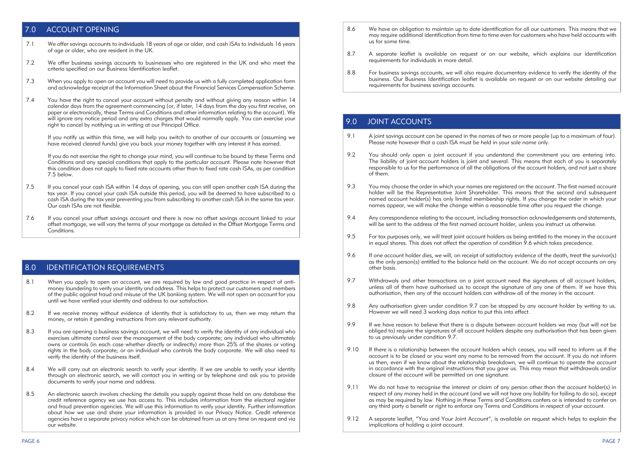# 7.0 ACCOUNT OPENING

- 7.1 We offer savings accounts to individuals 18 years of age or older, and cash ISAs to individuals 16 years of age or older, who are resident in the UK.
- 7.2 We offer business savings accounts to businesses who are registered in the UK and who meet the criteria specified on our Business Identification leaflet.
- 7.3 When you apply to open an account you will need to provide us with a fully completed application form and acknowledge receipt of the Information Sheet about the Financial Services Compensation Scheme.
- 7.4 You have the right to cancel your account without penalty and without giving any reason within 14 calendar days from the agreement commencing (or, if later, 14 days from the day you first receive, on paper or electronically, these Terms and Conditions and other information relating to the account). We will ignore any notice period and any extra charges that would normally apply. You can exercise your right to cancel by notifying us in writing at our Principal Office.

If you notify us within this time, we will help you switch to another of our accounts or (assuming we have received cleared funds) give you back your money together with any interest it has earned.

If you do not exercise the right to change your mind, you will continue to be bound by these Terms and Conditions and any special conditions that apply to the particular account. Please note however that this condition does not apply to fixed rate accounts other than to fixed rate cash ISAs, as per condition 7.5 below.

- 7.5 If you cancel your cash ISA within 14 days of opening, you can still open another cash ISA during the tax year. If you cancel your cash ISA outside this period, you will be deemed to have subscribed to a cash ISA during the tax year preventing you from subscribing to another cash ISA in the same tax year. Our cash ISAs are not flexible.
- 7.6 If you cancel your offset savings account and there is now no offset savings account linked to your offset mortgage, we will vary the terms of your mortgage as detailed in the Offset Mortgage Terms and **Conditions**

# 8.0 IDENTIFICATION REQUIREMENTS

- 8.1 When you apply to open an account, we are required by law and good practice in respect of antimoney laundering to verify your identity and address. This helps to protect our customers and members of the public against fraud and misuse of the UK banking system. We will not open an account for you until we have verified your identity and address to our satisfaction.
- 8.2 If we receive money without evidence of identity that is satisfactory to us, then we may return the money, or retain it pending instructions from any relevant authority.
- 8.3 If you are opening a business savings account, we will need to verify the identity of any individual who exercises ultimate control over the management of the body corporate; any individual who ultimately owns or controls (in each case whether directly or indirectly) more than 25% of the shares or voting rights in the body corporate; or an individual who controls the body corporate. We will also need to verify the identity of the business itself.
- 8.4 We will carry out an electronic search to verify your identity. If we are unable to verify your identity through an electronic search, we will contact you in writing or by telephone and ask you to provide documents to verify your name and address.
- 8.5 An electronic search involves checking the details you supply against those held on any database the credit reference agency we use has access to. This includes information from the electoral register and fraud prevention agencies. We will use this information to verify your identity. Further information about how we use and share your information is provided in our Privacy Notice. Credit reference agencies have a separate privacy notice which can be obtained from us at any time on request and via our website.
- 8.6 We have an obligation to maintain up to date identification for all our customers. This means that we may require additional identification from time to time even for customers who have held accounts with us for some time.
- 8.7 A separate leaflet is available on request or on our website, which explains our identification requirements for individuals in more detail.
- 8.8 For business savings accounts, we will also require documentary evidence to verify the identity of the business. Our Business Identification leaflet is available on request or on our website detailing our requirements for business savings accounts.

# 9.0 JOINT ACCOUNTS

- 9.1 A joint savings account can be opened in the names of two or more people (up to a maximum of four). Please note however that a cash ISA must be held in your sole name only.
- 9.2 You should only open a joint account if you understand the commitment you are entering into. The liability of joint account holders is joint and several. This means that each of you is separately responsible to us for the performance of all the obligations of the account holders, and not just a share of them.
- 9.3 You may choose the order in which your names are registered on the account. The first named account holder will be the Representative Joint Shareholder. This means that the second and subsequent named account holder(s) has only limited membership rights. If you change the order in which your names appear, we will make the change within a reasonable time after you request the change.
- 9.4 Any correspondence relating to the account, including transaction acknowledgements and statements, will be sent to the address of the first named account holder, unless you instruct us otherwise.
- 9.5 For tax purposes only, we will treat joint account holders as being entitled to the money in the account in equal shares. This does not affect the operation of condition  $\frac{9}{5}$  6 which takes precedence.
- 9.6 If one account holder dies, we will, on receipt of satisfactory evidence of the death, treat the survivor(s) as the only person(s) entitled to the balance held on the account. We do not accept accounts on any other basis.
- 9.7 Withdrawals and other transactions on a joint account need the signatures of all account holders, unless all of them have authorised us to accept the signature of any one of them. If we have this authorisation, then any of the account holders can withdraw all of the money in the account.
- 9.8 Any authorisation given under condition 9.7 can be stopped by any account holder by writing to us. However we will need 3 working days notice to put this into effect.
- 9.9 If we have reason to believe that there is a dispute between account holders we may (but will not be obliged to) require the signatures of all account holders despite any authorisation that has been given to us previously under condition 9.7.
- 9.10 If there is a relationship between the account holders which ceases, you will need to inform us if the account is to be closed or you want any name to be removed from the account. If you do not inform us then, even if we know about the relationship breakdown, we will continue to operate the account in accordance with the original instructions that you gave us. This may mean that withdrawals and/or closure of the account will be permitted on one signature.
- 9.11 We do not have to recognise the interest or claim of any person other than the account holder(s) in respect of any money held in the account (and we will not have any liability for failing to do so), except as may be required by law. Nothing in these Terms and Conditions confers or is intended to confer on any third party a benefit or right to enforce any Terms and Conditions in respect of your account.
- 9.12 A separate leaflet, "You and Your Joint Account", is available on request which helps to explain the implications of holding a joint account.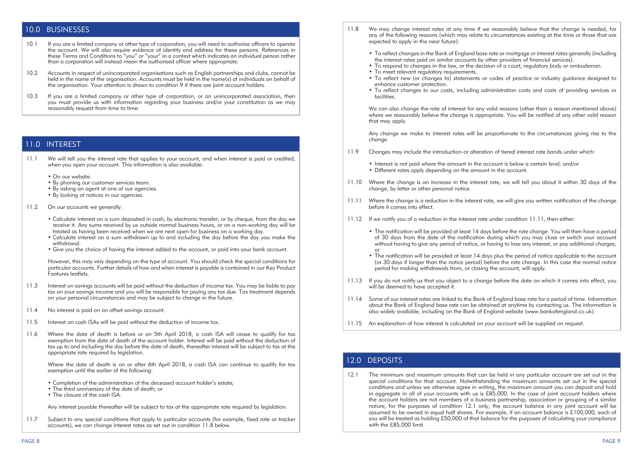#### 10.0 BUSINESSES

- 10.1 If you are a limited company or other type of corporation, you will need to authorise officers to operate the account. We will also require evidence of identity and address for these persons. References in these Terms and Conditions to "you" or "your" in a context which indicates an individual person rather than a corporation will instead mean the authorised officer where appropriate.
- 10.2 Accounts in respect of unincorporated organisations such as English partnerships and clubs, cannot be held in the name of the organisation. Accounts must be held in the name(s) of individuals on behalf of the organisation. Your attention is drawn to condition 9 if there are joint account holders.
- 10.3 If you are a limited company or other type of corporation, or an unincorporated association, then you must provide us with information regarding your business and/or your constitution as we may reasonably request from time to time.

#### 11.0 INTEREST

- 11.1 We will tell you the interest rate that applies to your account, and when interest is paid or credited, when you open your account. This information is also available:
	- On our website.
	- By phoning our customer services team.
	- By asking an agent at one of our agencies.
	- By looking at notices in our agencies.
- 11.2 On our accounts we generally:
	- Calculate interest on a sum deposited in cash, by electronic transfer, or by cheque, from the day we receive it. Any sums received by us outside normal business hours, or on a non-working day will be treated as having been received when we are next open for business on a working day.
	- Calculate interest on a sum withdrawn up to and including the day before the day you make the withdrawal.
	- Give you the choice of having the interest added to the account, or paid into your bank account.

However, this may vary depending on the type of account. You should check the special conditions for particular accounts. Further details of how and when interest is payable is contained in our Key Product Features leaflets.

- 11.3 Interest on savings accounts will be paid without the deduction of income tax. You may be liable to pay tax on your savings income and you will be responsible for paying any tax due. Tax treatment depends on your personal circumstances and may be subject to change in the future.
- 11.4 No interest is paid on an offset savings account.
- 11.5 Interest on cash ISAs will be paid without the deduction of income tax.
- 11.6 Where the date of death is before or on 5th April 2018, a cash ISA will cease to qualify for tax exemption from the date of death of the account holder. Interest will be paid without the deduction of tax up to and including the day before the date of death, thereafter interest will be subject to tax at the appropriate rate required by legislation.

Where the date of death is on or after 6th April 2018, a cash ISA can continue to qualify for tax exemption until the earlier of the following:

- Completion of the administration of the deceased account holder's estate;
- The third anniversary of the date of death; or
- The closure of the cash ISA.

 Any interest payable thereafter will be subject to tax at the appropriate rate required by legislation.

11.7 Subject to any special conditions that apply to particular accounts (for example, fixed rate or tracker accounts), we can change interest rates as set out in condition 11.8 below.

- 11.8 We may change interest rates at any time if we reasonably believe that the change is needed, for any of the following reasons (which may relate to circumstances existing at the time or those that are expected to apply in the near future):
	- • To reflect changes in the Bank of England base rate or mortgage or interest rates generally (including the interest rates paid on similar accounts by other providers of financial services).
	- To respond to changes in the law, or the decision of a court, regulatory body or ombudsman.
	- To meet relevant regulatory requirements.
	- To reflect new (or changes to) statements or codes of practice or industry guidance designed to enhance customer protection.
	- • To reflect changes to our costs, including administration costs and costs of providing services or facilities.

We can also change the rate of interest for any valid reasons (other than a reason mentioned above) where we reasonably believe the change is appropriate. You will be notified of any other valid reason that may apply.

Any change we make to interest rates will be proportionate to the circumstances giving rise to the change.

- 11.9 Changes may include the introduction or alteration of tiered interest rate bands under which:
	- Interest is not paid where the amount in the account is below a certain level: and/or
	- Different rates apply depending on the amount in the account.
- 11.10 Where the change is an increase in the interest rate, we will tell you about it within 30 days of the change, by letter or other personal notice.
- 11.11 Where the change is a reduction in the interest rate, we will give you written notification of the change before it comes into effect.
- 11.12 If we notify you of a reduction in the interest rate under condition 11.11, then either:
	- • The notification will be provided at least 14 days before the rate change. You will then have a period of 30 days from the date of the notification during which you may close or switch your account without having to give any period of notice, or having to lose any interest, or pay additional charges; or
- • The notification will be provided at least 14 days plus the period of notice applicable to the account (or 30 days if longer than the notice period) before the rate change. In this case the normal notice period for making withdrawals from, or closing the account, will apply.
- 11.13 If you do not notify us that you object to a change before the date on which it comes into effect, you will be deemed to have accepted it.
- 11.14 Some of our interest rates are linked to the Bank of England base rate for a period of time. Information about the Bank of England base rate can be obtained at anytime by contacting us. The information is also widely available, including on the Bank of England website (www.bankofengland.co.uk).
- 11.15 An explanation of how interest is calculated on your account will be supplied on request.

# 12.0 DEPOSITS

12.1 The minimum and maximum amounts that can be held in any particular account are set out in the special conditions for that account. Notwithstanding the maximum amounts set out in the special conditions and unless we otherwise agree in writing, the maximum amount you can deposit and hold in aggregate in all of your accounts with us is £85,000. In the case of joint account holders where the account holders are not members of a business partnership, association or grouping of a similar nature, for the purposes of condition 12.1 only, the account balance in any joint account will be assumed to be owned in equal half shares. For example, if an account balance is £100,000, each of you will be treated as holding £50,000 of that balance for the purposes of calculating your compliance with the £85,000 limit.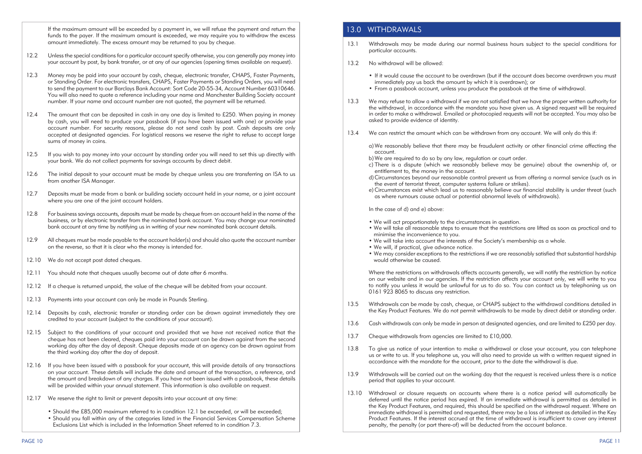If the maximum amount will be exceeded by a payment in, we will refuse the payment and return the funds to the payer. If the maximum amount is exceeded, we may require you to withdraw the excess amount immediately. The excess amount may be returned to you by cheque.

- 12.2 Unless the special conditions for a particular account specify otherwise, you can generally pay money into your account by post, by bank transfer, or at any of our agencies (opening times available on request).
- 12.3 Money may be paid into your account by cash, cheque, electronic transfer, CHAPS, Faster Payments, or Standing Order. For electronic transfers, CHAPS, Faster Payments or Standing Orders, you will need to send the payment to our Barclays Bank Account: Sort Code 20-55-34, Account Number 60310646. You will also need to quote a reference including your name and Manchester Building Society account number. If your name and account number are not quoted, the payment will be returned.
- 12.4 The amount that can be deposited in cash in any one day is limited to £250. When paying in money by cash, you will need to produce your passbook (if you have been issued with one) or provide your account number. For security reasons, please do not send cash by post. Cash deposits are only accepted at designated agencies. For logistical reasons we reserve the right to refuse to accept large sums of money in coins.
- 12.5 If you wish to pay money into your account by standing order you will need to set this up directly with your bank. We do not collect payments for savings accounts by direct debit.
- 12.6 The initial deposit to your account must be made by cheque unless you are transferring an ISA to us from another ISA Manager.
- 12.7 Deposits must be made from a bank or building society account held in your name, or a joint account where you are one of the joint account holders.
- 12.8 For business savings accounts, deposits must be made by cheque from an account held in the name of the business, or by electronic transfer from the nominated bank account. You may change your nominated bank account at any time by notifying us in writing of your new nominated bank account details.
- 12.9 All cheques must be made payable to the account holder(s) and should also quote the account number on the reverse, so that it is clear who the money is intended for.
- 12.10 We do not accept post dated cheques.
- 12.11 You should note that cheques usually become out of date after 6 months.
- 12.12 If a cheque is returned unpaid, the value of the cheque will be debited from your account.
- 12.13 Payments into your account can only be made in Pounds Sterling.
- 12.14 Deposits by cash, electronic transfer or standing order can be drawn against immediately they are credited to your account (subject to the conditions of your account).
- 12.15 Subject to the conditions of your account and provided that we have not received notice that the cheque has not been cleared, cheques paid into your account can be drawn against from the second working day after the day of deposit. Cheque deposits made at an agency can be drawn against from the third working day after the day of deposit.
- 12.16 If you have been issued with a passbook for your account, this will provide details of any transactions on your account. These details will include the date and amount of the transaction, a reference, and the amount and breakdown of any charges. If you have not been issued with a passbook, these details will be provided within your annual statement. This information is also available on request.
- 12.17 We reserve the right to limit or prevent deposits into your account at any time:
	- Should the £85,000 maximum referred to in condition 12.1 be exceeded, or will be exceeded;
	- Should you fall within any of the categories listed in the Financial Services Compensation Scheme Exclusions List which is included in the Information Sheet referred to in condition 7.3.

## 13.0 WITHDRAWALS

- 13.1 Withdrawals may be made during our normal business hours subject to the special conditions for particular accounts.
- 13.2 No withdrawal will be allowed:
	- If it would cause the account to be overdrawn (but if the account does become overdrawn you must immediately pay us back the amount by which it is overdrawn); or
	- From a passbook account, unless you produce the passbook at the time of withdrawal.
- We may refuse to allow a withdrawal if we are not satisfied that we have the proper written authority for the withdrawal, in accordance with the mandate you have given us. A signed request will be required in order to make a withdrawal. Emailed or photocopied requests will not be accepted. You may also be asked to provide evidence of identity.
- 13.4 We can restrict the amount which can be withdrawn from any account. We will only do this if:

 a) We reasonably believe that there may be fraudulent activity or other financial crime affecting the account.

- b) We are required to do so by any law, regulation or court order.
- c) There is a dispute (which we reasonably believe may be genuine) about the ownership of, or entitlement to, the money in the account.
- d) Circumstances beyond our reasonable control prevent us from offering a normal service (such as in the event of terrorist threat, computer systems failure or strikes).
- e) Circumstances exist which lead us to reasonably believe our financial stability is under threat (such as where rumours cause actual or potential abnormal levels of withdrawals).

 In the case of d) and e) above:

- We will act proportionately to the circumstances in question.
- We will take all reasonable steps to ensure that the restrictions are lifted as soon as practical and to minimise the inconvenience to you.
- We will take into account the interests of the Society's membership as a whole.
- We will, if practical, give advance notice.
- We may consider exceptions to the restrictions if we are reasonably satisfied that substantial hardship would otherwise be caused.

Where the restrictions on withdrawals affects accounts generally, we will notify the restriction by notice on our website and in our agencies. If the restriction affects your account only, we will write to you to notify you unless it would be unlawful for us to do so. You can contact us by telephoning us on 0161 923 8065 to discuss any restriction.

- 13.5 Withdrawals can be made by cash, cheque, or CHAPS subject to the withdrawal conditions detailed in the Key Product Features. We do not permit withdrawals to be made by direct debit or standing order.
- 13.6 Cash withdrawals can only be made in person at designated agencies, and are limited to £250 per day.
- 13.7 Cheque withdrawals from agencies are limited to £10,000.
- 13.8 To give us notice of your intention to make a withdrawal or close your account, you can telephone us or write to us. If you telephone us, you will also need to provide us with a written request signed in accordance with the mandate for the account, prior to the date the withdrawal is due.
- 13.9 Withdrawals will be carried out on the working day that the request is received unless there is a notice period that applies to your account.
- 13.10 Withdrawal or closure requests on accounts where there is a notice period will automatically be deferred until the notice period has expired. If an immediate withdrawal is permitted as detailed in the Key Product Features, and required, this should be specified on the withdrawal request. Where an immediate withdrawal is permitted and requested, there may be a loss of interest as detailed in the Key Product Features. If the interest accrued at the time of withdrawal is insufficient to cover any interest penalty, the penalty (or part there-of) will be deducted from the account balance.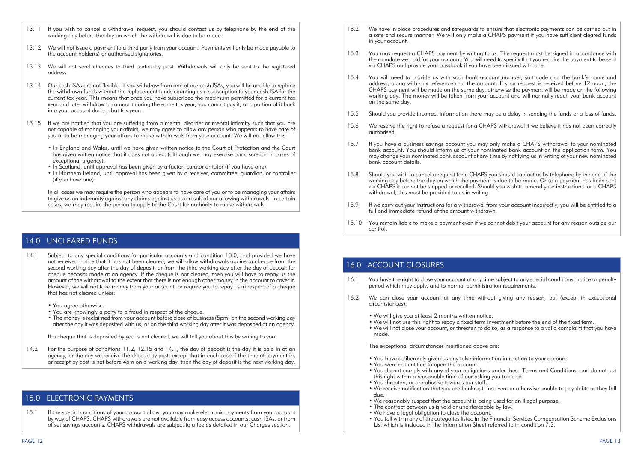- 13.11 If you wish to cancel a withdrawal request, you should contact us by telephone by the end of the working day before the day on which the withdrawal is due to be made.
- 13.12 We will not issue a payment to a third party from your account. Payments will only be made payable to the account holder(s) or authorised signatories.
- 13.13 We will not send cheques to third parties by post. Withdrawals will only be sent to the registered address.
- 13.14 Our cash ISAs are not flexible. If you withdraw from one of our cash ISAs, you will be unable to replace the withdrawn funds without the replacement funds counting as a subscription to your cash ISA for the current tax year. This means that once you have subscribed the maximum permitted for a current tax year and later withdraw an amount during the same tax year, you cannot pay it, or a portion of it back into your account during that tax year.
- 13.15 If we are notified that you are suffering from a mental disorder or mental infirmity such that you are not capable of managing your affairs, we may agree to allow any person who appears to have care of you or to be managing your affairs to make withdrawals from your account. We will not allow this:
	- In England and Wales, until we have given written notice to the Court of Protection and the Court has given written notice that it does not object (although we may exercise our discretion in cases of exceptional urgency).
	- In Scotland, until approval has been given by a factor, curator or tutor (if you have one).
	- In Northern Ireland, until approval has been given by a receiver, committee, guardian, or controller (if you have one).

In all cases we may require the person who appears to have care of you or to be managing your affairs to give us an indemnity against any claims against us as a result of our allowing withdrawals. In certain cases, we may require the person to apply to the Court for authority to make withdrawals.

### 14.0 UNCLEARED FUNDS

- 14.1 Subject to any special conditions for particular accounts and condition 13.0, and provided we have not received notice that it has not been cleared, we will allow withdrawals against a cheque from the second working day after the day of deposit, or from the third working day after the day of deposit for cheque deposits made at an agency. If the cheque is not cleared, then you will have to repay us the amount of the withdrawal to the extent that there is not enough other money in the account to cover it. However, we will not take money from your account, or require you to repay us in respect of a cheque that has not cleared unless:
	- You agree otherwise.
	- You are knowingly a party to a fraud in respect of the cheque.
	- The money is reclaimed from your account before close of business (5pm) on the second working day after the day it was deposited with us, or on the third working day after it was deposited at an agency.

 If a cheque that is deposited by you is not cleared, we will tell you about this by writing to you.

14.2 For the purpose of conditions 11.2, 12.15 and 14.1, the day of deposit is the day it is paid in at an agency, or the day we receive the cheque by post, except that in each case if the time of payment in, or receipt by post is not before 4pm on a working day, then the day of deposit is the next working day.

#### 15.0 ELECTRONIC PAYMENTS

15.1 If the special conditions of your account allow, you may make electronic payments from your account by way of CHAPS. CHAPS withdrawals are not available from easy access accounts, cash ISAs, or from offset savings accounts. CHAPS withdrawals are subject to a fee as detailed in our Charges section.

- 15.2 We have in place procedures and safeguards to ensure that electronic payments can be carried out in a safe and secure manner. We will only make a CHAPS payment if you have sufficient cleared funds in your account.
- 15.3 You may request a CHAPS payment by writing to us. The request must be signed in accordance with the mandate we hold for your account. You will need to specify that you require the payment to be sent via CHAPS and provide your passbook if you have been issued with one.
- 15.4 You will need to provide us with your bank account number, sort code and the bank's name and address, along with any reference and the amount. If your request is received before 12 noon, the CHAPS payment will be made on the same day, otherwise the payment will be made on the following working day. The money will be taken from your account and will normally reach your bank account on the same day.
- 15.5 Should you provide incorrect information there may be a delay in sending the funds or a loss of funds.
- 15.6 We reserve the right to refuse a request for a CHAPS withdrawal if we believe it has not been correctly authorised.
- 15.7 If you have a business savings account you may only make a CHAPS withdrawal to your nominated bank account. You should inform us of your nominated bank account on the application form. You may change your nominated bank account at any time by notifying us in writing of your new nominated bank account details.
- 15.8 Should you wish to cancel a request for a CHAPS you should contact us by telephone by the end of the working day before the day on which the payment is due to be made. Once a payment has been sent via CHAPS it cannot be stopped or recalled. Should you wish to amend your instructions for a CHAPS withdrawal, this must be provided to us in writing.
- 15.9 If we carry out your instructions for a withdrawal from your account incorrectly, you will be entitled to a full and immediate refund of the amount withdrawn.
- 15.10 You remain liable to make a payment even if we cannot debit your account for any reason outside our control.

#### 16.0 ACCOUNT CLOSURES

- 16.1 You have the right to close your account at any time subject to any special conditions, notice or penalty period which may apply, and to normal administration requirements.
- 16.2 We can close your account at any time without giving any reason, but (except in exceptional circumstances):
	- We will give you at least 2 months written notice.
	- We will not use this right to repay a fixed term investment before the end of the fixed term.
	- We will not close your account, or threaten to do so, as a response to a valid complaint that you have made.

 The exceptional circumstances mentioned above are:

- You have deliberately given us any false information in relation to your account.
- You were not entitled to open the account.
- You do not comply with any of your obligations under these Terms and Conditions, and do not put this right within a reasonable time of our asking you to do so.
- You threaten, or are abusive towards our staff.
- We receive notification that you are bankrupt, insolvent or otherwise unable to pay debts as they fall due.
- We reasonably suspect that the account is being used for an illegal purpose.
- The contract between us is void or unenforceable by law.
- We have a legal obligation to close the account.
- You fall within any of the categories listed in the Financial Services Compensation Scheme Exclusions List which is included in the Information Sheet referred to in condition 7.3.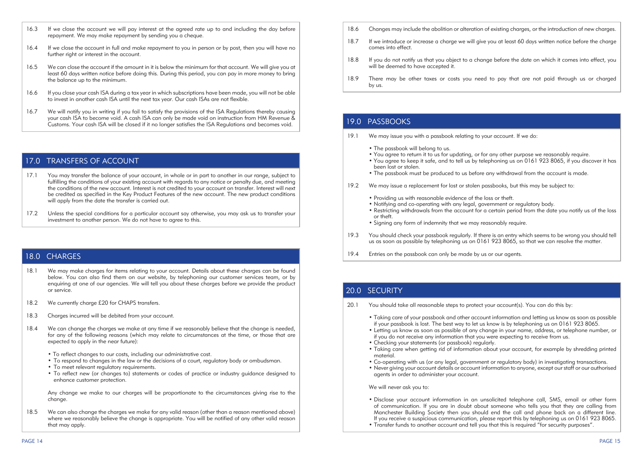- 16.3 If we close the account we will pay interest at the agreed rate up to and including the day before repayment. We may make repayment by sending you a cheque.
- 16.4 If we close the account in full and make repayment to you in person or by post, then you will have no further right or interest in the account.
- 16.5 We can close the account if the amount in it is below the minimum for that account. We will give you at least 60 days written notice before doing this. During this period, you can pay in more money to bring the balance up to the minimum.
- 16.6 If you close your cash ISA during a tax year in which subscriptions have been made, you will not be able to invest in another cash ISA until the next tax year. Our cash ISAs are not flexible.
- 16.7 We will notify you in writing if you fail to satisfy the provisions of the ISA Regulations thereby causing your cash ISA to become void. A cash ISA can only be made void on instruction from HM Revenue & Customs. Your cash ISA will be closed if it no longer satisfies the ISA Regulations and becomes void.

#### 17.0 TRANSFERS OF ACCOUNT

- 17.1 You may transfer the balance of your account, in whole or in part to another in our range, subject to fulfilling the conditions of your existing account with regards to any notice or penalty due, and meeting the conditions of the new account. Interest is not credited to your account on transfer. Interest will next be credited as specified in the Key Product Features of the new account. The new product conditions will apply from the date the transfer is carried out.
- 17.2 Unless the special conditions for a particular account say otherwise, you may ask us to transfer your investment to another person. We do not have to agree to this.

#### 18.0 CHARGES

- 18.1 We may make charges for items relating to your account. Details about these charges can be found below. You can also find them on our website, by telephoning our customer services team, or by enquiring at one of our agencies. We will tell you about these charges before we provide the product or service.
- 18.2 We currently charge £20 for CHAPS transfers.
- 18.3 Charges incurred will be debited from your account.
- 18.4 We can change the charges we make at any time if we reasonably believe that the change is needed, for any of the following reasons (which may relate to circumstances at the time, or those that are expected to apply in the near future):
	- To reflect changes to our costs, including our administrative cost.
	- To respond to changes in the law or the decisions of a court, regulatory body or ombudsman.
	- To meet relevant regulatory requirements.
	- • To reflect new (or changes to) statements or codes of practice or industry guidance designed to enhance customer protection.

Any change we make to our charges will be proportionate to the circumstances giving rise to the change.

18.5 We can also change the charges we make for any valid reason (other than a reason mentioned above) where we reasonably believe the change is appropriate. You will be notified of any other valid reason that may apply.

- 18.6 Changes may include the abolition or alteration of existing charges, or the introduction of new charges.
- 18.7 If we introduce or increase a charge we will give you at least 60 days written notice before the charge comes into effect.
- 18.8 If you do not notify us that you object to a change before the date on which it comes into effect, you will be deemed to have accepted it.
- 18.9 There may be other taxes or costs you need to pay that are not paid through us or charged by us.

# 19.0 PASSBOOKS

- 19.1 We may issue you with a passbook relating to your account. If we do:
	- The passbook will belong to us.
	- You agree to return it to us for updating, or for any other purpose we reasonably require.
	- You agree to keep it safe, and to tell us by telephoning us on 0161 923 8065, if you discover it has been lost or stolen.
	- The passbook must be produced to us before any withdrawal from the account is made.
- 19.2 We may issue a replacement for lost or stolen passbooks, but this may be subject to:
	- Providing us with reasonable evidence of the loss or theft.
	- Notifying and co-operating with any legal, government or regulatory body.
	- Restricting withdrawals from the account for a certain period from the date you notify us of the loss or theft.
	- Signing any form of indemnity that we may reasonably require.
- 19.3 You should check your passbook regularly. If there is an entry which seems to be wrong you should tell us as soon as possible by telephoning us on 0161 923 8065, so that we can resolve the matter.
- 19.4 Entries on the passbook can only be made by us or our agents.

# 20.0 SECURITY

- 20.1 You should take all reasonable steps to protect your account(s). You can do this by:
	- Taking care of your passbook and other account information and letting us know as soon as possible if your passbook is lost. The best way to let us know is by telephoning us on 0161 923 8065.
	- Letting us know as soon as possible of any change in your name, address, or telephone number, or if you do not receive any information that you were expecting to receive from us.
	- Checking your statements (or passbook) regularly.
	- Taking care when getting rid of information about your account, for example by shredding printed material.
	- Co-operating with us (or any legal, government or regulatory body) in investigating transactions.
	- Never giving your account details or account information to anyone, except our staff or our authorised agents in order to administer your account.

#### We will never ask you to:

- Disclose your account information in an unsolicited telephone call, SMS, email or other form of communication. If you are in doubt about someone who tells you that they are calling from Manchester Building Society then you should end the call and phone back on a different line. If you receive a suspicious communication, please report this by telephoning us on 0161 923 8065.
- Transfer funds to another account and tell you that this is required "for security purposes".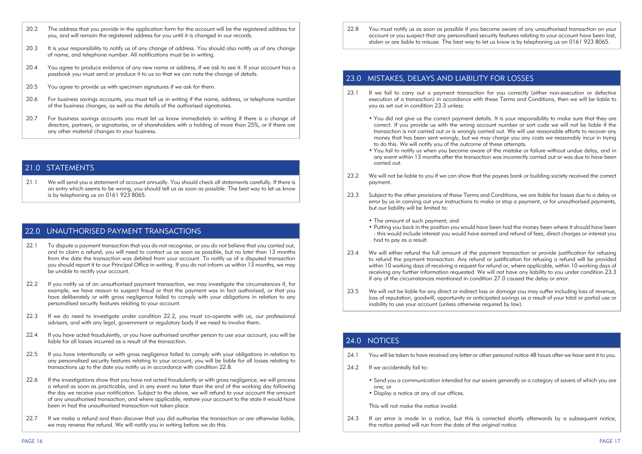- 20.2 The address that you provide in the application form for the account will be the registered address for you, and will remain the registered address for you until it is changed in our records.
- 20.3 It is your responsibility to notify us of any change of address. You should also notify us of any change of name, and telephone number. All notifications must be in writing.
- 20.4 You garee to produce evidence of any new name or address, if we ask to see it. If your account has a passbook you must send or produce it to us so that we can note the change of details.
- 20.5 You agree to provide us with specimen signatures if we ask for them.
- 20.6 For business savings accounts, you must tell us in writing if the name, address, or telephone number of the business changes, as well as the details of the authorised signatories.
- 20.7 For business savings accounts you must let us know immediately in writing if there is a change of directors, partners, or signatories, or of shareholders with a holding of more than 25%, or if there are any other material changes to your business.

# 21.0 STATEMENTS

21.1 We will send you a statement of account annually. You should check all statements carefully. If there is an entry which seems to be wrong, you should tell us as soon as possible. The best way to let us know is by telephoning us on 0161 923 8065.

#### 22.0 UNAUTHORISED PAYMENT TRANSACTIONS

- 22.1 To dispute a payment transaction that you do not recognise, or you do not believe that you carried out, and to claim a refund, you will need to contact us as soon as possible, but no later than 13 months from the date the transaction was debited from your account. To notify us of a disputed transaction you should report it to our Principal Office in writing. If you do not inform us within 13 months, we may be unable to rectify your account.
- 22.2 If you notify us of an unauthorised payment transaction, we may investigate the circumstances if, for example, we have reason to suspect fraud or that the payment was in fact authorised, or that you have deliberately or with gross negligence failed to comply with your obligations in relation to any personalised security features relating to your account.
- 22.3 If we do need to investigate under condition 22.2, you must co-operate with us, our professional advisers, and with any legal, government or regulatory body if we need to involve them.
- 22.4 If you have acted fraudulently, or you have authorised another person to use your account, you will be liable for all losses incurred as a result of the transaction.
- 22.5 If you have intentionally or with gross negligence failed to comply with your obligations in relation to any personalised security features relating to your account, you will be liable for all losses relating to transactions up to the date you notify us in accordance with condition 22.8.
- 22.6 If the investigations show that you have not acted fraudulently or with gross negligence, we will process a refund as soon as practicable, and in any event no later than the end of the working day following the day we receive your notification. Subject to the above, we will refund to your account the amount of any unauthorised transaction, and where applicable, restore your account to the state it would have been in had the unauthorised transaction not taken place.
- 22.7 If we make a refund and then discover that you did authorise the transaction or are otherwise liable, we may reverse the refund. We will notify you in writing before we do this.

22.8 You must notify us as soon as possible if you become aware of any unauthorised transaction on your account or you suspect that any personalised security features relating to your account have been lost. stolen or are liable to misuse. The best way to let us know is by telephoning us on 0161 923 8065.

# 23.0 MISTAKES, DELAYS AND LIABILITY FOR LOSSES

- 23.1 If we fail to carry out a payment transaction for you correctly (either non-execution or defective execution of a transaction) in accordance with these Terms and Conditions, then we will be liable to you as set out in condition 23.3 unless:
	- You did not give us the correct payment details. It is your responsibility to make sure that they are correct. If you provide us with the wrong account number or sort code we will not be liable if the transaction is not carried out or is wrongly carried out. We will use reasonable efforts to recover any money that has been sent wrongly, but we may charge you any costs we reasonably incur in trying to do this. We will notify you of the outcome of these attempts.
	- You fail to notify us when you become aware of the mistake or failure without undue delay, and in any event within 13 months after the transaction was incorrectly carried out or was due to have been carried out.
- 23.2 We will not be liable to you if we can show that the payees bank or building society received the correct payment.
- 23.3 Subject to the other provisions of these Terms and Conditions, we are liable for losses due to a delay or error by us in carrying out your instructions to make or stop a payment, or for unauthorised payments, but our liability will be limited to:
	- The amount of such payment; and
	- Putting you back in the position you would have been had the money been where it should have been - this would include interest you would have earned and refund of fees, direct charges or interest you had to pay as a result.
- 23.4 We will either refund the full amount of the payment transaction or provide justification for refusing to refund the payment transaction. Any refund or justification for refusing a refund will be provided within 10 working days of receiving a request for refund or, where applicable, within 10 working days of receiving any further information requested. We will not have any liability to you under condition 23.3 if any of the circumstances mentioned in condition 27.0 caused the delay or error.
- 23.5 We will not be liable for any direct or indirect loss or damage you may suffer including loss of revenue, loss of reputation, goodwill, opportunity or anticipated savings as a result of your total or partial use or inability to use your account (unless otherwise required by law).

# 24.0 NOTICES

- 24.1 You will be taken to have received any letter or other personal notice 48 hours after we have sent it to you.
- 24.2 If we accidentally fail to:
	- Send you a communication intended for our savers generally or a category of savers of which you are one; or
	- Display a notice at any of our offices.

 This will not make the notice invalid.

24.3 If an error is made in a notice, but this is corrected shortly afterwards by a subsequent notice, the notice period will run from the date of the original notice.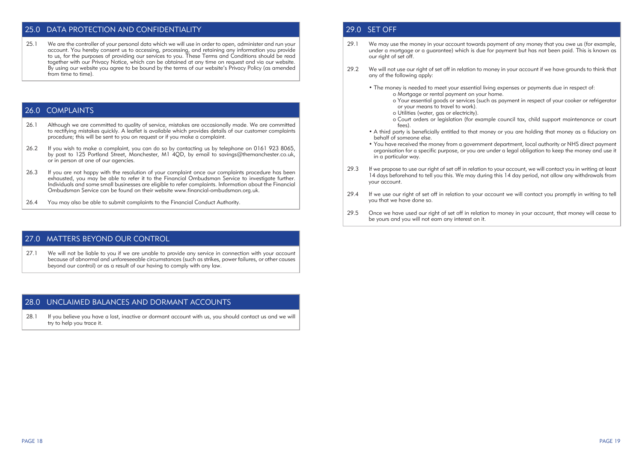# 25.0 DATA PROTECTION AND CONFIDENTIALITY

25.1 We are the controller of your personal data which we will use in order to open, administer and run your account. You hereby consent us to accessing, processing, and retaining any information you provide to us, for the purposes of providing our services to you. These Terms and Conditions should be read together with our Privacy Notice, which can be obtained at any time on request and via our website. By using our website you garee to be bound by the terms of our website's Privacy Policy (as amended from time to time).

# 26.0 COMPLAINTS

- 26.1 Although we are committed to quality of service, mistakes are occasionally made. We are committed to rectifying mistakes quickly. A leaflet is available which provides details of our customer complaints procedure; this will be sent to you on request or if you make a complaint.
- 26.2 If you wish to make a complaint, you can do so by contacting us by telephone on 0161 923 8065. by post to 125 Portland Street, Manchester, M1 40D, by email to savings@themanchester.co.uk, or in person at one of our agencies.
- 26.3 If you are not happy with the resolution of your complaint once our complaints procedure has been exhausted, you may be able to refer it to the Financial Ombudsman Service to investigate further. Individuals and some small businesses are eligible to refer complaints. Information about the Financial Ombudsman Service can be found on their website www.financial-ombudsman.org.uk.
- 26.4 You may also be able to submit complaints to the Financial Conduct Authority.

#### 27.0 MATTERS BEYOND OUR CONTROL

27.1 We will not be liable to you if we are unable to provide any service in connection with your account because of abnormal and unforeseeable circumstances (such as strikes, power failures, or other causes beyond our control) or as a result of our having to comply with any law.

#### 28.0 UNCLAIMED BALANCES AND DORMANT ACCOUNTS

28.1 If you believe you have a lost, inactive or dormant account with us, you should contact us and we will try to help you trace it.

# 29.0 SET OFF

- 29.1 We may use the money in your account towards payment of any money that you owe us (for example, under a mortgage or a guarantee) which is due for payment but has not been paid. This is known as our right of set off.
- 29.2 We will not use our right of set off in relation to money in your account if we have grounds to think that any of the following apply:
	- The money is needed to meet your essential living expenses or payments due in respect of: o Mortgage or rental payment on your home.
		- o Your essential goods or services (such as payment in respect of your cooker or refrigerator or your means to travel to work).
		- o Utilities (water, gas or electricity).
		- o Court orders or legislation (for example council tax, child support maintenance or court fees).
	- A third party is beneficially entitled to that money or you are holding that money as a fiduciary on behalf of someone else.
	- You have received the money from a government department, local authority or NHS direct payment organisation for a specific purpose, or you are under a legal obligation to keep the money and use it in a particular way.
- 29.3 If we propose to use our right of set off in relation to your account, we will contact you in writing at least 14 days beforehand to tell you this. We may during this 14 day period, not allow any withdrawals from your account.
- 29.4 If we use our right of set off in relation to your account we will contact you promptly in writing to tell you that we have done so.
- 29.5 Once we have used our right of set off in relation to money in your account, that money will cease to be yours and you will not earn any interest on it.